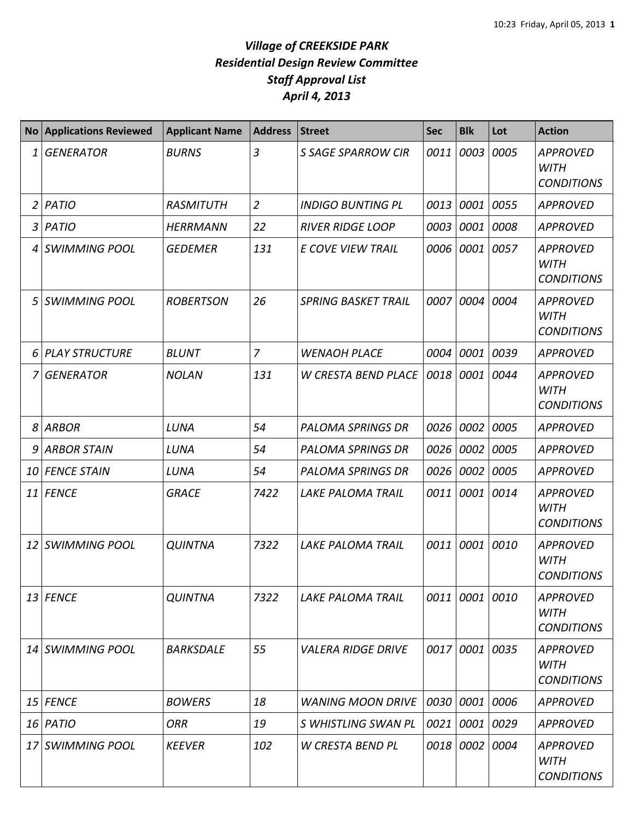| <b>No</b> | <b>Applications Reviewed</b> | <b>Applicant Name</b> | <b>Address</b> | <b>Street</b>              | <b>Sec</b> | <b>Blk</b>     | Lot       | <b>Action</b>                                       |
|-----------|------------------------------|-----------------------|----------------|----------------------------|------------|----------------|-----------|-----------------------------------------------------|
| 1         | <b>GENERATOR</b>             | <b>BURNS</b>          | $\overline{3}$ | S SAGE SPARROW CIR         | 0011       | 0003           | 0005      | <b>APPROVED</b><br><b>WITH</b><br><b>CONDITIONS</b> |
| 2         | <b>PATIO</b>                 | <b>RASMITUTH</b>      | $\overline{2}$ | <b>INDIGO BUNTING PL</b>   | 0013       | 0001           | 0055      | <b>APPROVED</b>                                     |
| 3         | <b>PATIO</b>                 | <b>HERRMANN</b>       | 22             | <b>RIVER RIDGE LOOP</b>    | 0003       | 0001 0008      |           | <b>APPROVED</b>                                     |
| 4         | <b>SWIMMING POOL</b>         | <b>GEDEMER</b>        | 131            | E COVE VIEW TRAIL          | 0006       | 0001 0057      |           | <b>APPROVED</b><br><b>WITH</b><br><b>CONDITIONS</b> |
| 5         | <b>SWIMMING POOL</b>         | <b>ROBERTSON</b>      | 26             | <b>SPRING BASKET TRAIL</b> | 0007       | 0004           | 0004      | <b>APPROVED</b><br><b>WITH</b><br><b>CONDITIONS</b> |
| 6         | <b>PLAY STRUCTURE</b>        | <b>BLUNT</b>          | $\overline{7}$ | <b>WENAOH PLACE</b>        | 0004       | 0001           | 0039      | APPROVED                                            |
| 7         | <b>GENERATOR</b>             | <b>NOLAN</b>          | 131            | <b>W CRESTA BEND PLACE</b> | 0018       | 0001           | 0044      | <b>APPROVED</b><br><b>WITH</b><br><b>CONDITIONS</b> |
| 8         | <b>ARBOR</b>                 | LUNA                  | 54             | <b>PALOMA SPRINGS DR</b>   | 0026       | 0002           | 0005      | APPROVED                                            |
| 9         | <b>ARBOR STAIN</b>           | LUNA                  | 54             | <b>PALOMA SPRINGS DR</b>   | 0026       | 0002           | 0005      | <b>APPROVED</b>                                     |
| 10        | <b>FENCE STAIN</b>           | LUNA                  | 54             | <b>PALOMA SPRINGS DR</b>   | 0026       | 0002           | 0005      | APPROVED                                            |
| 11        | <b>FENCE</b>                 | <b>GRACE</b>          | 7422           | LAKE PALOMA TRAIL          | 0011       | 0001           | 0014      | <b>APPROVED</b><br><b>WITH</b><br><b>CONDITIONS</b> |
| 12        | <b>SWIMMING POOL</b>         | <b>QUINTNA</b>        | 7322           | <b>LAKE PALOMA TRAIL</b>   | 0011       |                | 0001 0010 | <b>APPROVED</b><br><b>WITH</b><br><b>CONDITIONS</b> |
|           | 13 FENCE                     | <b>QUINTNA</b>        | 7322           | LAKE PALOMA TRAIL          | 0011       | 0001 0010      |           | <b>APPROVED</b><br><b>WITH</b><br><b>CONDITIONS</b> |
| 14        | <b>SWIMMING POOL</b>         | <b>BARKSDALE</b>      | 55             | <b>VALERA RIDGE DRIVE</b>  | 0017       | 0001 0035      |           | <b>APPROVED</b><br><b>WITH</b><br><b>CONDITIONS</b> |
| 15        | <b>FENCE</b>                 | <b>BOWERS</b>         | 18             | <b>WANING MOON DRIVE</b>   | 0030       | 0001 0006      |           | APPROVED                                            |
|           | 16 PATIO                     | <b>ORR</b>            | 19             | S WHISTLING SWAN PL        | 0021       | 0001 0029      |           | APPROVED                                            |
| 17        | <b>SWIMMING POOL</b>         | <b>KEEVER</b>         | 102            | W CRESTA BEND PL           |            | 0018 0002 0004 |           | <b>APPROVED</b><br>WITH<br><b>CONDITIONS</b>        |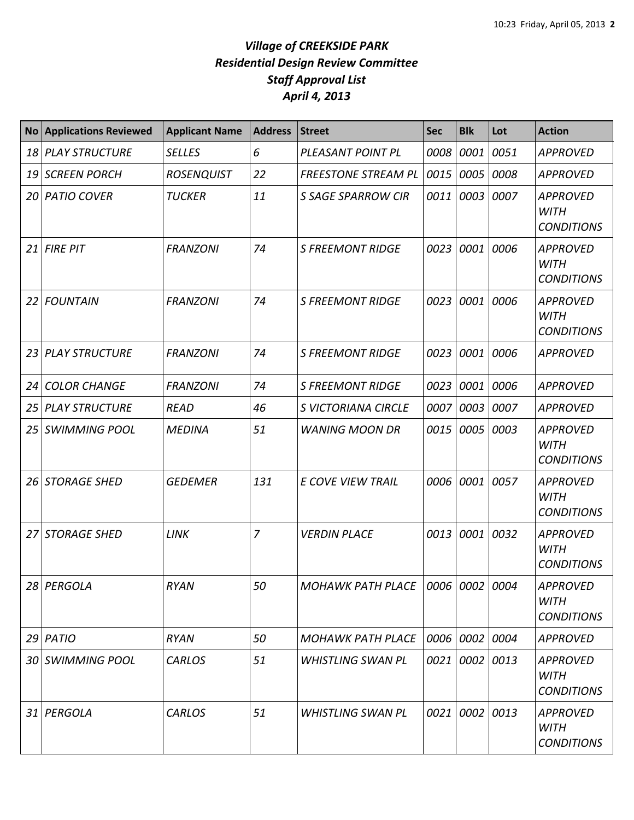| <b>No</b> | <b>Applications Reviewed</b> | <b>Applicant Name</b> | <b>Address</b> | <b>Street</b>                          | <b>Sec</b> | <b>Blk</b>     | Lot  | <b>Action</b>                                       |
|-----------|------------------------------|-----------------------|----------------|----------------------------------------|------------|----------------|------|-----------------------------------------------------|
| 18        | <b>PLAY STRUCTURE</b>        | <b>SELLES</b>         | 6              | PLEASANT POINT PL                      | 0008       | 0001           | 0051 | <b>APPROVED</b>                                     |
| 19        | <b>SCREEN PORCH</b>          | <b>ROSENQUIST</b>     | 22             | <b>FREESTONE STREAM PL</b>             | 0015       | 0005           | 0008 | <b>APPROVED</b>                                     |
| 20        | <b>PATIO COVER</b>           | <b>TUCKER</b>         | 11             | <b>S SAGE SPARROW CIR</b>              | 0011       | 0003           | 0007 | <b>APPROVED</b><br><b>WITH</b><br><b>CONDITIONS</b> |
| 21        | <b>FIRE PIT</b>              | <b>FRANZONI</b>       | 74             | <b>S FREEMONT RIDGE</b>                | 0023       | 0001           | 0006 | <b>APPROVED</b><br><b>WITH</b><br><b>CONDITIONS</b> |
| 22        | <b>FOUNTAIN</b>              | <b>FRANZONI</b>       | 74             | <b>S FREEMONT RIDGE</b>                | 0023       | 0001           | 0006 | <b>APPROVED</b><br><b>WITH</b><br><b>CONDITIONS</b> |
| 23        | <b>PLAY STRUCTURE</b>        | <b>FRANZONI</b>       | 74             | <b>S FREEMONT RIDGE</b>                | 0023       | 0001           | 0006 | <b>APPROVED</b>                                     |
| 24        | <b>COLOR CHANGE</b>          | <b>FRANZONI</b>       | 74             | <b>S FREEMONT RIDGE</b>                | 0023       | 0001           | 0006 | <b>APPROVED</b>                                     |
| 25        | <b>PLAY STRUCTURE</b>        | <b>READ</b>           | 46             | S VICTORIANA CIRCLE                    | 0007       | 0003           | 0007 | <b>APPROVED</b>                                     |
| 25        | <b>SWIMMING POOL</b>         | <b>MEDINA</b>         | 51             | <b>WANING MOON DR</b>                  | 0015       | 0005           | 0003 | <b>APPROVED</b><br><b>WITH</b><br><b>CONDITIONS</b> |
| 26        | <b>STORAGE SHED</b>          | <b>GEDEMER</b>        | 131            | <b>E COVE VIEW TRAIL</b>               | 0006       | 0001           | 0057 | <b>APPROVED</b><br><b>WITH</b><br><b>CONDITIONS</b> |
| 27        | <b>STORAGE SHED</b>          | <b>LINK</b>           | $\overline{7}$ | <b>VERDIN PLACE</b>                    | 0013       | 0001           | 0032 | <b>APPROVED</b><br><b>WITH</b><br><b>CONDITIONS</b> |
|           | 28 PERGOLA                   | <b>RYAN</b>           | 50             | MOHAWK PATH PLACE   0006   0002   0004 |            |                |      | <b>APPROVED</b><br><b>WITH</b><br><b>CONDITIONS</b> |
|           | 29 PATIO                     | <b>RYAN</b>           | 50             | <b>MOHAWK PATH PLACE</b>               |            | 0006 0002 0004 |      | <b>APPROVED</b>                                     |
|           | 30 SWIMMING POOL             | <b>CARLOS</b>         | 51             | <b>WHISTLING SWAN PL</b>               |            | 0021 0002 0013 |      | <b>APPROVED</b><br><b>WITH</b><br><b>CONDITIONS</b> |
| 31        | PERGOLA                      | <b>CARLOS</b>         | 51             | <b>WHISTLING SWAN PL</b>               | 0021       | 0002 0013      |      | <b>APPROVED</b><br><b>WITH</b><br><b>CONDITIONS</b> |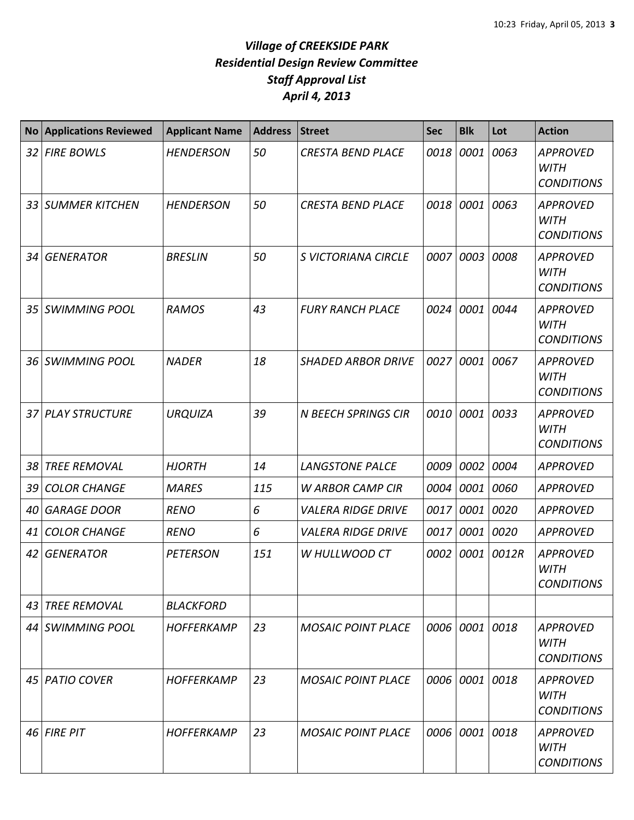| <b>No</b> | <b>Applications Reviewed</b> | <b>Applicant Name</b> | <b>Address</b> | <b>Street</b>              | <b>Sec</b> | <b>Blk</b>     | Lot   | <b>Action</b>                                       |
|-----------|------------------------------|-----------------------|----------------|----------------------------|------------|----------------|-------|-----------------------------------------------------|
|           | 32 FIRE BOWLS                | <b>HENDERSON</b>      | 50             | <b>CRESTA BEND PLACE</b>   | 0018       | 0001           | 0063  | <b>APPROVED</b><br><b>WITH</b><br><b>CONDITIONS</b> |
|           | 33 SUMMER KITCHEN            | <b>HENDERSON</b>      | 50             | <b>CRESTA BEND PLACE</b>   | 0018       | 0001           | 0063  | <b>APPROVED</b><br><b>WITH</b><br><b>CONDITIONS</b> |
| 34 I      | <b>GENERATOR</b>             | <b>BRESLIN</b>        | 50             | S VICTORIANA CIRCLE        | 0007       | 0003           | 0008  | <b>APPROVED</b><br><b>WITH</b><br><b>CONDITIONS</b> |
|           | 35 SWIMMING POOL             | <b>RAMOS</b>          | 43             | <b>FURY RANCH PLACE</b>    | 0024       | 0001           | 0044  | <b>APPROVED</b><br><b>WITH</b><br><b>CONDITIONS</b> |
| 36 I      | <b>SWIMMING POOL</b>         | <b>NADER</b>          | 18             | <b>SHADED ARBOR DRIVE</b>  | 0027       | 0001           | 0067  | <b>APPROVED</b><br><b>WITH</b><br><b>CONDITIONS</b> |
|           | 37 PLAY STRUCTURE            | <b>URQUIZA</b>        | 39             | <b>N BEECH SPRINGS CIR</b> | 0010       | 0001           | 0033  | <b>APPROVED</b><br><b>WITH</b><br><b>CONDITIONS</b> |
| 38        | <b>TREE REMOVAL</b>          | <b>HJORTH</b>         | 14             | <b>LANGSTONE PALCE</b>     | 0009       | 0002           | 0004  | <b>APPROVED</b>                                     |
| 39 I      | <b>COLOR CHANGE</b>          | <b>MARES</b>          | 115            | <b>W ARBOR CAMP CIR</b>    | 0004       | 0001 0060      |       | <b>APPROVED</b>                                     |
| 40        | <b>GARAGE DOOR</b>           | <b>RENO</b>           | 6              | <b>VALERA RIDGE DRIVE</b>  | 0017       | 0001 0020      |       | <b>APPROVED</b>                                     |
| 41        | <b>COLOR CHANGE</b>          | <b>RENO</b>           | 6              | <b>VALERA RIDGE DRIVE</b>  | 0017       | 0001           | 0020  | <b>APPROVED</b>                                     |
| 42        | <b>GENERATOR</b>             | <b>PETERSON</b>       | 151            | W HULLWOOD CT              | 0002       | 0001           | 0012R | <b>APPROVED</b><br><b>WITH</b><br><b>CONDITIONS</b> |
| 431       | <b>TREE REMOVAL</b>          | <b>BLACKFORD</b>      |                |                            |            |                |       |                                                     |
|           | 44 SWIMMING POOL             | <b>HOFFERKAMP</b>     | 23             | <b>MOSAIC POINT PLACE</b>  |            | 0006 0001 0018 |       | <b>APPROVED</b><br><b>WITH</b><br><b>CONDITIONS</b> |
|           | 45   PATIO COVER             | HOFFERKAMP            | 23             | <b>MOSAIC POINT PLACE</b>  | 0006       | 0001 0018      |       | <b>APPROVED</b><br><b>WITH</b><br><b>CONDITIONS</b> |
|           | $46$ FIRE PIT                | <b>HOFFERKAMP</b>     | 23             | <b>MOSAIC POINT PLACE</b>  |            | 0006 0001 0018 |       | <b>APPROVED</b><br><b>WITH</b><br><b>CONDITIONS</b> |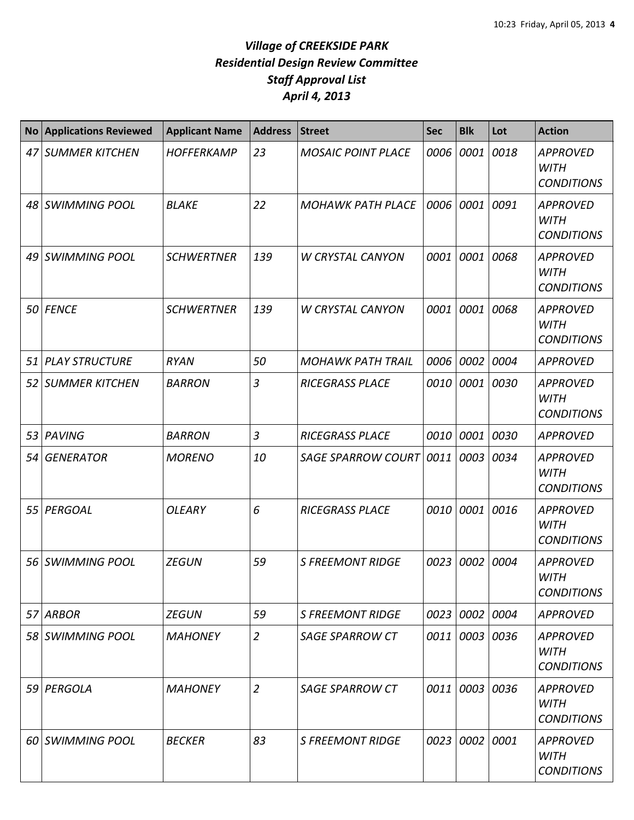| <b>No</b> | <b>Applications Reviewed</b> | <b>Applicant Name</b> | <b>Address</b> | <b>Street</b>             | <b>Sec</b> | <b>Blk</b>     | Lot  | <b>Action</b>                                       |
|-----------|------------------------------|-----------------------|----------------|---------------------------|------------|----------------|------|-----------------------------------------------------|
|           | 47 SUMMER KITCHEN            | <b>HOFFERKAMP</b>     | 23             | <b>MOSAIC POINT PLACE</b> | 0006       | 0001           | 0018 | <b>APPROVED</b><br><b>WITH</b><br><b>CONDITIONS</b> |
|           | 48 SWIMMING POOL             | <b>BLAKE</b>          | 22             | <b>MOHAWK PATH PLACE</b>  |            | 0006 0001      | 0091 | <b>APPROVED</b><br><b>WITH</b><br><b>CONDITIONS</b> |
|           | 49 SWIMMING POOL             | <b>SCHWERTNER</b>     | 139            | <b>W CRYSTAL CANYON</b>   | 0001       | 0001           | 0068 | <b>APPROVED</b><br><b>WITH</b><br><b>CONDITIONS</b> |
|           | 50 FENCE                     | <b>SCHWERTNER</b>     | 139            | <b>W CRYSTAL CANYON</b>   | 0001       | 0001           | 0068 | <b>APPROVED</b><br><b>WITH</b><br><b>CONDITIONS</b> |
|           | 51 PLAY STRUCTURE            | <b>RYAN</b>           | 50             | <b>MOHAWK PATH TRAIL</b>  | 0006       | 0002           | 0004 | <b>APPROVED</b>                                     |
|           | 52 SUMMER KITCHEN            | <b>BARRON</b>         | 3              | <b>RICEGRASS PLACE</b>    | 0010       | 0001           | 0030 | <b>APPROVED</b><br><b>WITH</b><br><b>CONDITIONS</b> |
|           | 53 PAVING                    | <b>BARRON</b>         | $\overline{3}$ | <b>RICEGRASS PLACE</b>    | 0010       | 0001           | 0030 | <b>APPROVED</b>                                     |
|           | 54 GENERATOR                 | <b>MORENO</b>         | 10             | <b>SAGE SPARROW COURT</b> | 0011       | 0003           | 0034 | <b>APPROVED</b><br><b>WITH</b><br><b>CONDITIONS</b> |
|           | 55   PERGOAL                 | <b>OLEARY</b>         | 6              | <b>RICEGRASS PLACE</b>    | 0010       | 0001           | 0016 | <b>APPROVED</b><br><b>WITH</b><br><b>CONDITIONS</b> |
|           | 56 SWIMMING POOL             | <b>ZEGUN</b>          | 59             | <b>S FREEMONT RIDGE</b>   | 0023       | 0002           | 0004 | <b>APPROVED</b><br><b>WITH</b><br><b>CONDITIONS</b> |
|           | 57 ARBOR                     | <b>ZEGUN</b>          | 59             | <b>S FREEMONT RIDGE</b>   |            | 0023 0002 0004 |      | <b>APPROVED</b>                                     |
|           | 58 SWIMMING POOL             | <b>MAHONEY</b>        | $\overline{2}$ | <b>SAGE SPARROW CT</b>    |            | 0011 0003 0036 |      | <b>APPROVED</b><br><b>WITH</b><br><b>CONDITIONS</b> |
|           | 59 PERGOLA                   | <b>MAHONEY</b>        | $\overline{2}$ | <b>SAGE SPARROW CT</b>    |            | 0011 0003 0036 |      | <b>APPROVED</b><br><b>WITH</b><br><b>CONDITIONS</b> |
|           | 60 SWIMMING POOL             | <b>BECKER</b>         | 83             | <b>S FREEMONT RIDGE</b>   |            | 0023 0002 0001 |      | <b>APPROVED</b><br><b>WITH</b><br><b>CONDITIONS</b> |